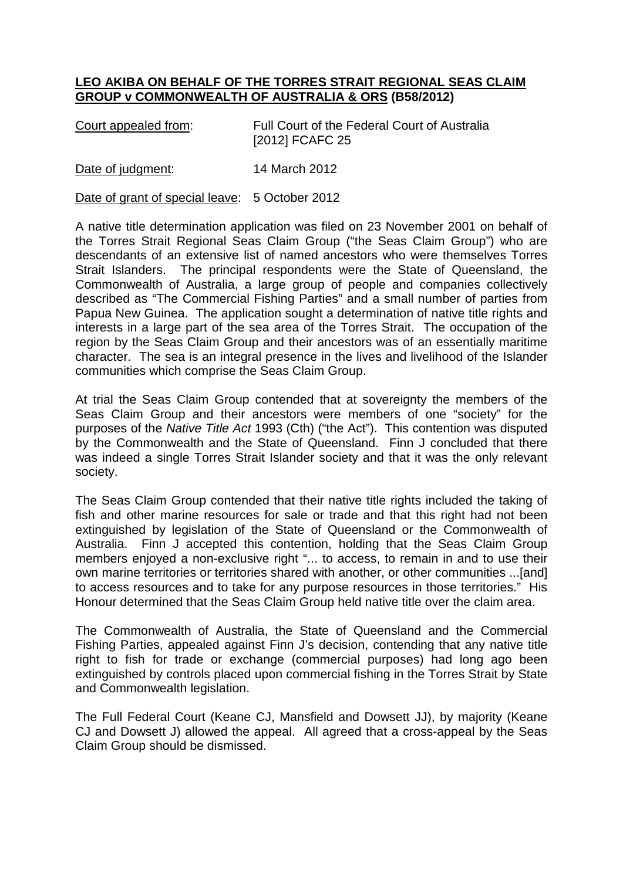## **LEO AKIBA ON BEHALF OF THE TORRES STRAIT REGIONAL SEAS CLAIM GROUP v COMMONWEALTH OF AUSTRALIA & ORS (B58/2012)**

Court appealed from: Full Court of the Federal Court of Australia [2012] FCAFC 25

Date of judgment: 14 March 2012

Date of grant of special leave: 5 October 2012

A native title determination application was filed on 23 November 2001 on behalf of the Torres Strait Regional Seas Claim Group ("the Seas Claim Group") who are descendants of an extensive list of named ancestors who were themselves Torres Strait Islanders. The principal respondents were the State of Queensland, the Commonwealth of Australia, a large group of people and companies collectively described as "The Commercial Fishing Parties" and a small number of parties from Papua New Guinea. The application sought a determination of native title rights and interests in a large part of the sea area of the Torres Strait. The occupation of the region by the Seas Claim Group and their ancestors was of an essentially maritime character. The sea is an integral presence in the lives and livelihood of the Islander communities which comprise the Seas Claim Group.

At trial the Seas Claim Group contended that at sovereignty the members of the Seas Claim Group and their ancestors were members of one "society" for the purposes of the *Native Title Act* 1993 (Cth) ("the Act"). This contention was disputed by the Commonwealth and the State of Queensland. Finn J concluded that there was indeed a single Torres Strait Islander society and that it was the only relevant society.

The Seas Claim Group contended that their native title rights included the taking of fish and other marine resources for sale or trade and that this right had not been extinguished by legislation of the State of Queensland or the Commonwealth of Australia. Finn J accepted this contention, holding that the Seas Claim Group members enjoyed a non-exclusive right "... to access, to remain in and to use their own marine territories or territories shared with another, or other communities ...[and] to access resources and to take for any purpose resources in those territories." His Honour determined that the Seas Claim Group held native title over the claim area.

The Commonwealth of Australia, the State of Queensland and the Commercial Fishing Parties, appealed against Finn J's decision, contending that any native title right to fish for trade or exchange (commercial purposes) had long ago been extinguished by controls placed upon commercial fishing in the Torres Strait by State and Commonwealth legislation.

The Full Federal Court (Keane CJ, Mansfield and Dowsett JJ), by majority (Keane CJ and Dowsett J) allowed the appeal. All agreed that a cross-appeal by the Seas Claim Group should be dismissed.